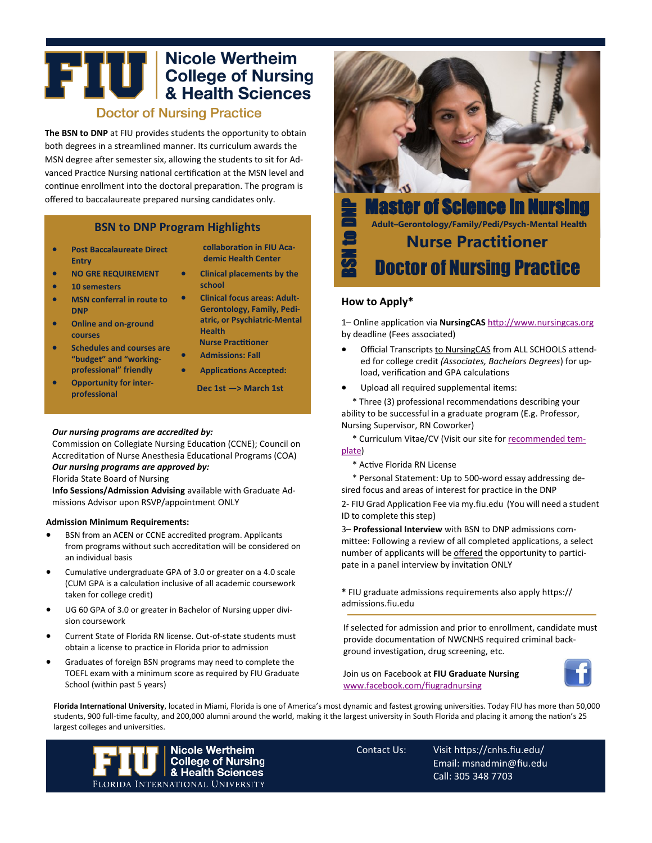# **THE College of Nursing<br>A Realth Sciences Doctor of Nursing Practice**

**The BSN to DNP** at FIU provides students the opportunity to obtain both degrees in a streamlined manner. Its curriculum awards the MSN degree after semester six, allowing the students to sit for Advanced Practice Nursing national certification at the MSN level and continue enrollment into the doctoral preparation. The program is offered to baccalaureate prepared nursing candidates only.

## **BSN to DNP Program Highlights**

- **Post Baccalaureate Direct Entry**
- **NO GRE REQUIREMENT**
- **10 semesters**
- **MSN conferral in route to DNP**
- **Online and on-ground courses**
- **Schedules and courses are "budget" and "workingprofessional" friendly**
- **Opportunity for interprofessional**
- **collaboration in FIU Academic Health Center**
- **Clinical placements by the school**
- **Clinical focus areas: Adult-Gerontology, Family, Pediatric, or Psychiatric-Mental Health Nurse Practitioner**
- **Admissions: Fall**
- **Applications Accepted:**
	- **Dec 1st —> March 1st**

#### *Our nursing programs are accredited by:*

Commission on Collegiate Nursing Education (CCNE); Council on Accreditation of Nurse Anesthesia Educational Programs (COA)

## *Our nursing programs are approved by:*

Florida State Board of Nursing

**Info Sessions/Admission Advising** available with Graduate Admissions Advisor upon RSVP/appointment ONLY

#### **Admission Minimum Requirements:**

- BSN from an ACEN or CCNE accredited program. Applicants from programs without such accreditation will be considered on an individual basis
- Cumulative undergraduate GPA of 3.0 or greater on a 4.0 scale (CUM GPA is a calculation inclusive of all academic coursework taken for college credit)
- UG 60 GPA of 3.0 or greater in Bachelor of Nursing upper division coursework
- Current State of Florida RN license. Out-of-state students must obtain a license to practice in Florida prior to admission
- Graduates of foreign BSN programs may need to complete the TOEFL exam with a minimum score as required by FIU Graduate School (within past 5 years)



Master of Science in Nursing **Adult–Gerontology/Family/Pedi/Psych-Mental Health Nurse Practitioner** BSN to DNP Doctor of Nursing Practice

### **How to Apply\***

1– Online application via **NursingCAS** http://www.nursingcas.org by deadline (Fees associated)

- Official Transcripts to NursingCAS from ALL SCHOOLS attended for college credit *(Associates, Bachelors Degrees*) for upload, verification and GPA calculations
- Upload all required supplemental items:

\* Three (3) professional recommendations describing your ability to be successful in a graduate program (E.g. Professor, Nursing Supervisor, RN Coworker)

\* Curriculum Vitae/CV (Visit our site for recommended template)

\* Active Florida RN License

\* Personal Statement: Up to 500-word essay addressing desired focus and areas of interest for practice in the DNP

2- FIU Grad Application Fee via my.fiu.edu (You will need a student ID to complete this step)

3– **Professional Interview** with BSN to DNP admissions committee: Following a review of all completed applications, a select number of applicants will be offered the opportunity to participate in a panel interview by invitation ONLY

**\*** FIU graduate admissions requirements also apply https:// admissions.fiu.edu

If selected for admission and prior to enrollment, candidate must provide documentation of NWCNHS required criminal background investigation, drug screening, etc.

Join us on Facebook at **FIU Graduate Nursing**  [www.facebook.com/fiugradnursing](http://www.facebook.com/fiugradnursing)



**Florida International University**, located in Miami, Florida is one of America's most dynamic and fastest growing universities. Today FIU has more than 50,000 students, 900 full-time faculty, and 200,000 alumni around the world, making it the largest university in South Florida and placing it among the nation's 25 largest colleges and universities.



Contact Us: Visit https://cnhs.fiu.edu/ Email: msnadmin@fiu.edu Call: 305 348 7703